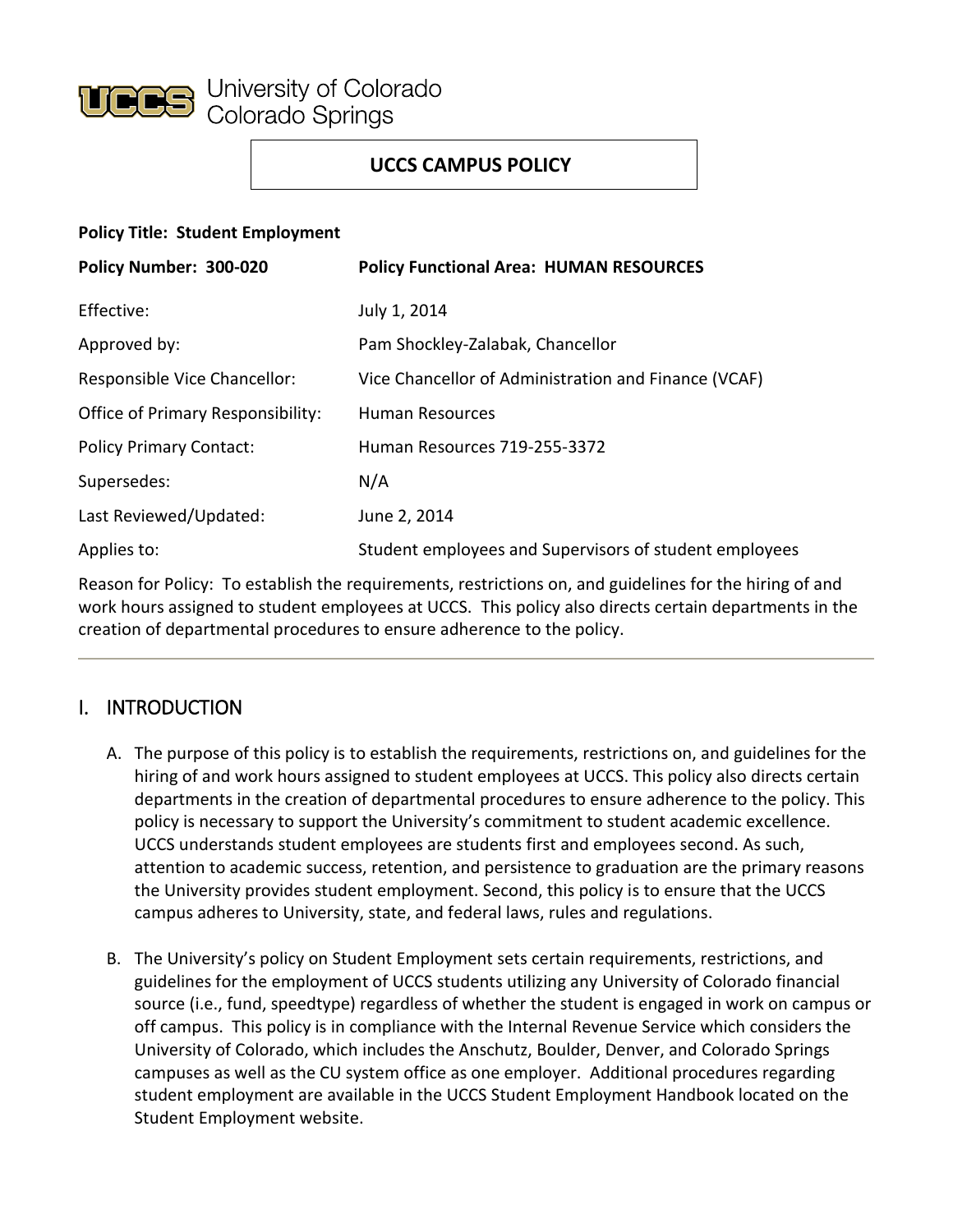

## **UCCS CAMPUS POLICY**

#### **Policy Title: Student Employment**

| Policy Number: 300-020            | <b>Policy Functional Area: HUMAN RESOURCES</b>         |
|-----------------------------------|--------------------------------------------------------|
| Effective:                        | July 1, 2014                                           |
| Approved by:                      | Pam Shockley-Zalabak, Chancellor                       |
| Responsible Vice Chancellor:      | Vice Chancellor of Administration and Finance (VCAF)   |
| Office of Primary Responsibility: | <b>Human Resources</b>                                 |
| <b>Policy Primary Contact:</b>    | Human Resources 719-255-3372                           |
| Supersedes:                       | N/A                                                    |
| Last Reviewed/Updated:            | June 2, 2014                                           |
| Applies to:                       | Student employees and Supervisors of student employees |

Reason for Policy: To establish the requirements, restrictions on, and guidelines for the hiring of and work hours assigned to student employees at UCCS. This policy also directs certain departments in the creation of departmental procedures to ensure adherence to the policy.

# I. INTRODUCTION

- A. The purpose of this policy is to establish the requirements, restrictions on, and guidelines for the hiring of and work hours assigned to student employees at UCCS. This policy also directs certain departments in the creation of departmental procedures to ensure adherence to the policy. This policy is necessary to support the University's commitment to student academic excellence. UCCS understands student employees are students first and employees second. As such, attention to academic success, retention, and persistence to graduation are the primary reasons the University provides student employment. Second, this policy is to ensure that the UCCS campus adheres to University, state, and federal laws, rules and regulations.
- B. The University's policy on Student Employment sets certain requirements, restrictions, and guidelines for the employment of UCCS students utilizing any University of Colorado financial source (i.e., fund, speedtype) regardless of whether the student is engaged in work on campus or off campus. This policy is in compliance with the Internal Revenue Service which considers the University of Colorado, which includes the Anschutz, Boulder, Denver, and Colorado Springs campuses as well as the CU system office as one employer. Additional procedures regarding student employment are available in the UCCS Student Employment Handbook located on the Student Employment website.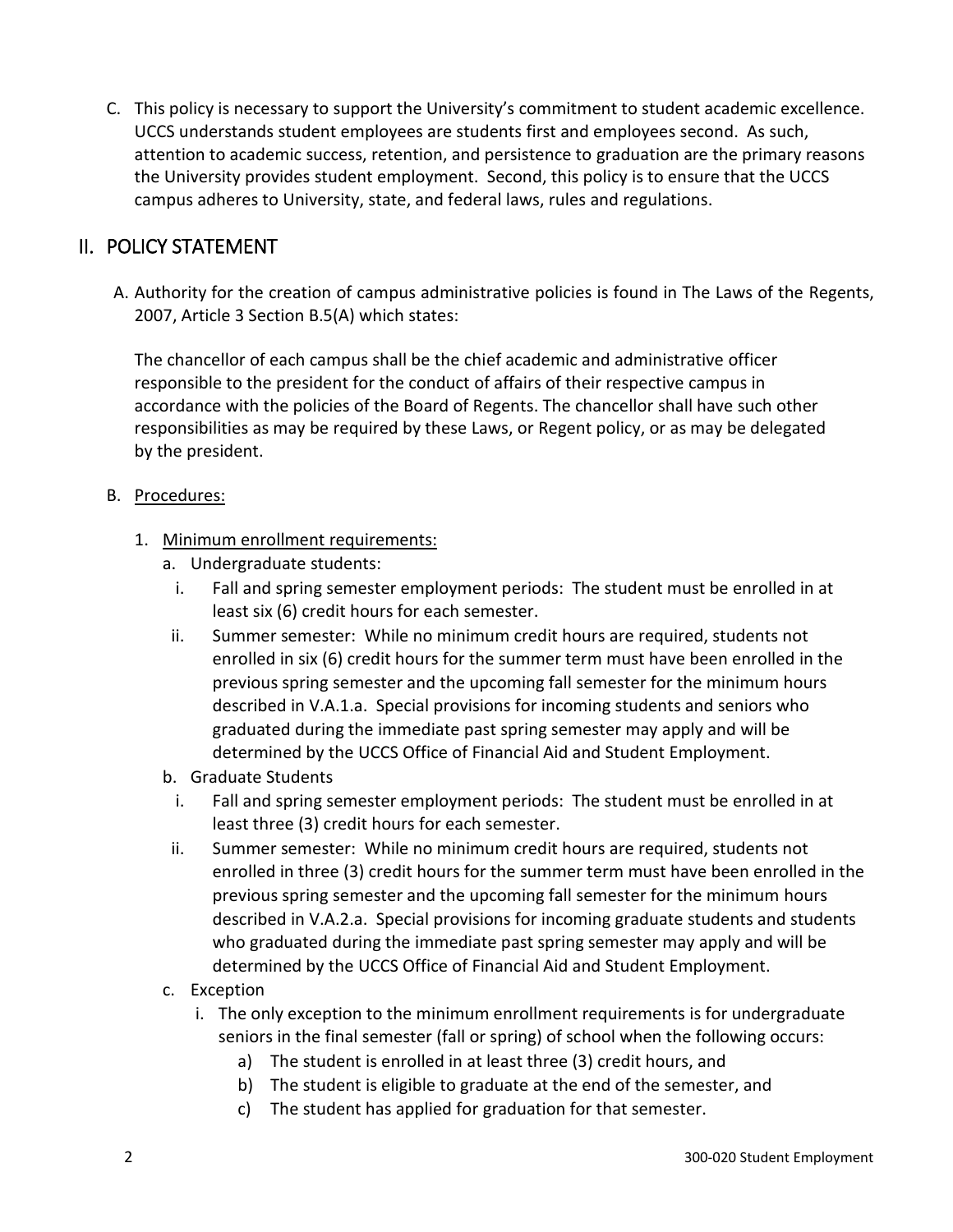C. This policy is necessary to support the University's commitment to student academic excellence. UCCS understands student employees are students first and employees second. As such, attention to academic success, retention, and persistence to graduation are the primary reasons the University provides student employment. Second, this policy is to ensure that the UCCS campus adheres to University, state, and federal laws, rules and regulations.

## II. POLICY STATEMENT

A. Authority for the creation of campus administrative policies is found in The Laws of the Regents, 2007, Article 3 Section B.5(A) which states:

The chancellor of each campus shall be the chief academic and administrative officer responsible to the president for the conduct of affairs of their respective campus in accordance with the policies of the Board of Regents. The chancellor shall have such other responsibilities as may be required by these Laws, or Regent policy, or as may be delegated by the president.

#### B. Procedures:

- 1. Minimum enrollment requirements:
	- a. Undergraduate students:
		- i. Fall and spring semester employment periods: The student must be enrolled in at least six (6) credit hours for each semester.
	- ii. Summer semester: While no minimum credit hours are required, students not enrolled in six (6) credit hours for the summer term must have been enrolled in the previous spring semester and the upcoming fall semester for the minimum hours described in V.A.1.a. Special provisions for incoming students and seniors who graduated during the immediate past spring semester may apply and will be determined by the UCCS Office of Financial Aid and Student Employment.
	- b. Graduate Students
		- i. Fall and spring semester employment periods: The student must be enrolled in at least three (3) credit hours for each semester.
	- ii. Summer semester: While no minimum credit hours are required, students not enrolled in three (3) credit hours for the summer term must have been enrolled in the previous spring semester and the upcoming fall semester for the minimum hours described in V.A.2.a. Special provisions for incoming graduate students and students who graduated during the immediate past spring semester may apply and will be determined by the UCCS Office of Financial Aid and Student Employment.
	- c. Exception
		- i. The only exception to the minimum enrollment requirements is for undergraduate seniors in the final semester (fall or spring) of school when the following occurs:
			- a) The student is enrolled in at least three (3) credit hours, and
			- b) The student is eligible to graduate at the end of the semester, and
			- c) The student has applied for graduation for that semester.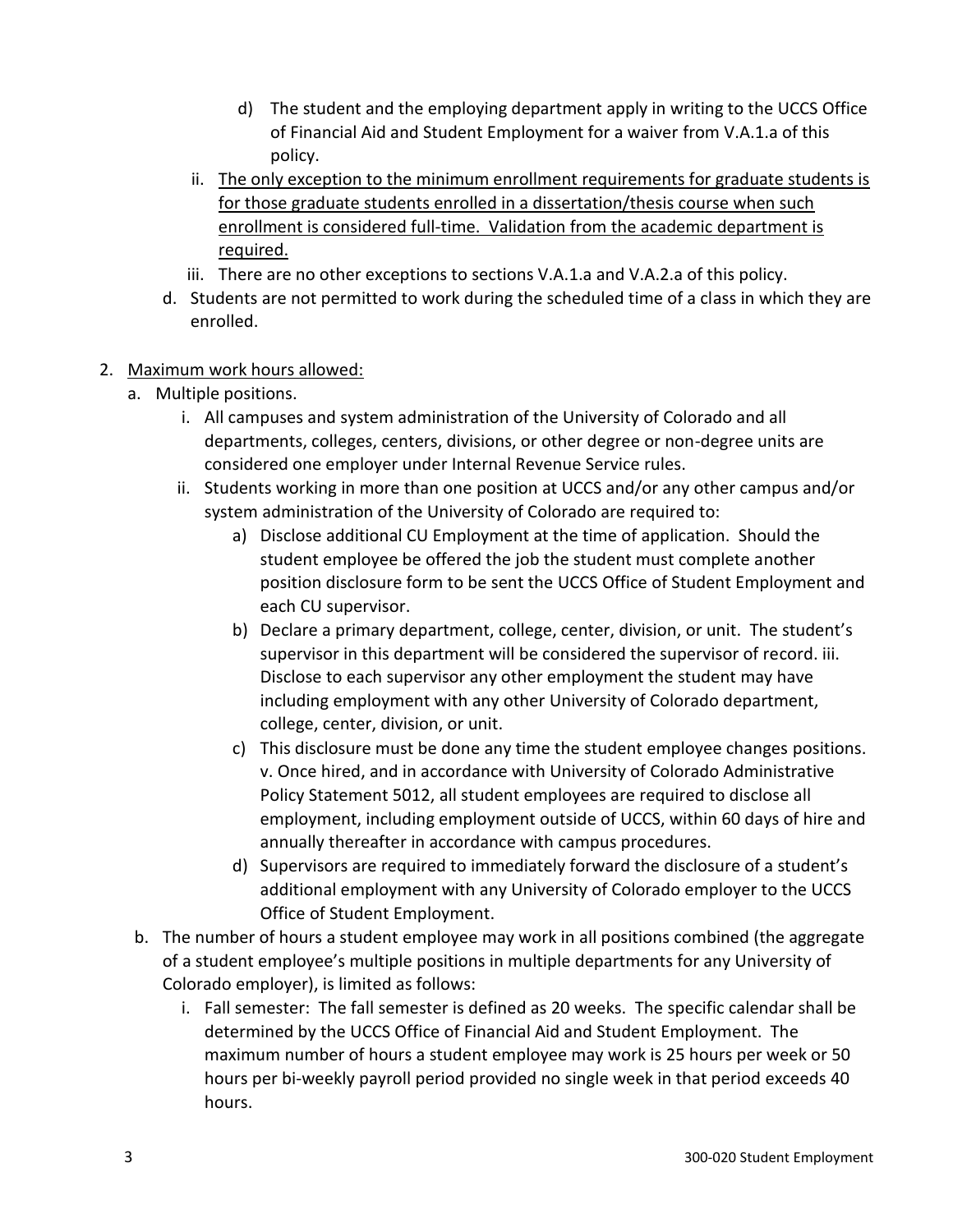- d) The student and the employing department apply in writing to the UCCS Office of Financial Aid and Student Employment for a waiver from V.A.1.a of this policy.
- ii. The only exception to the minimum enrollment requirements for graduate students is for those graduate students enrolled in a dissertation/thesis course when such enrollment is considered full-time. Validation from the academic department is required.
- iii. There are no other exceptions to sections V.A.1.a and V.A.2.a of this policy.
- d. Students are not permitted to work during the scheduled time of a class in which they are enrolled.
- 2. Maximum work hours allowed:
	- a. Multiple positions.
		- i. All campuses and system administration of the University of Colorado and all departments, colleges, centers, divisions, or other degree or non-degree units are considered one employer under Internal Revenue Service rules.
		- ii. Students working in more than one position at UCCS and/or any other campus and/or system administration of the University of Colorado are required to:
			- a) Disclose additional CU Employment at the time of application. Should the student employee be offered the job the student must complete another position disclosure form to be sent the UCCS Office of Student Employment and each CU supervisor.
			- b) Declare a primary department, college, center, division, or unit. The student's supervisor in this department will be considered the supervisor of record. iii. Disclose to each supervisor any other employment the student may have including employment with any other University of Colorado department, college, center, division, or unit.
			- c) This disclosure must be done any time the student employee changes positions. v. Once hired, and in accordance with University of Colorado Administrative Policy Statement 5012, all student employees are required to disclose all employment, including employment outside of UCCS, within 60 days of hire and annually thereafter in accordance with campus procedures.
			- d) Supervisors are required to immediately forward the disclosure of a student's additional employment with any University of Colorado employer to the UCCS Office of Student Employment.
		- b. The number of hours a student employee may work in all positions combined (the aggregate of a student employee's multiple positions in multiple departments for any University of Colorado employer), is limited as follows:
			- i. Fall semester: The fall semester is defined as 20 weeks. The specific calendar shall be determined by the UCCS Office of Financial Aid and Student Employment. The maximum number of hours a student employee may work is 25 hours per week or 50 hours per bi-weekly payroll period provided no single week in that period exceeds 40 hours.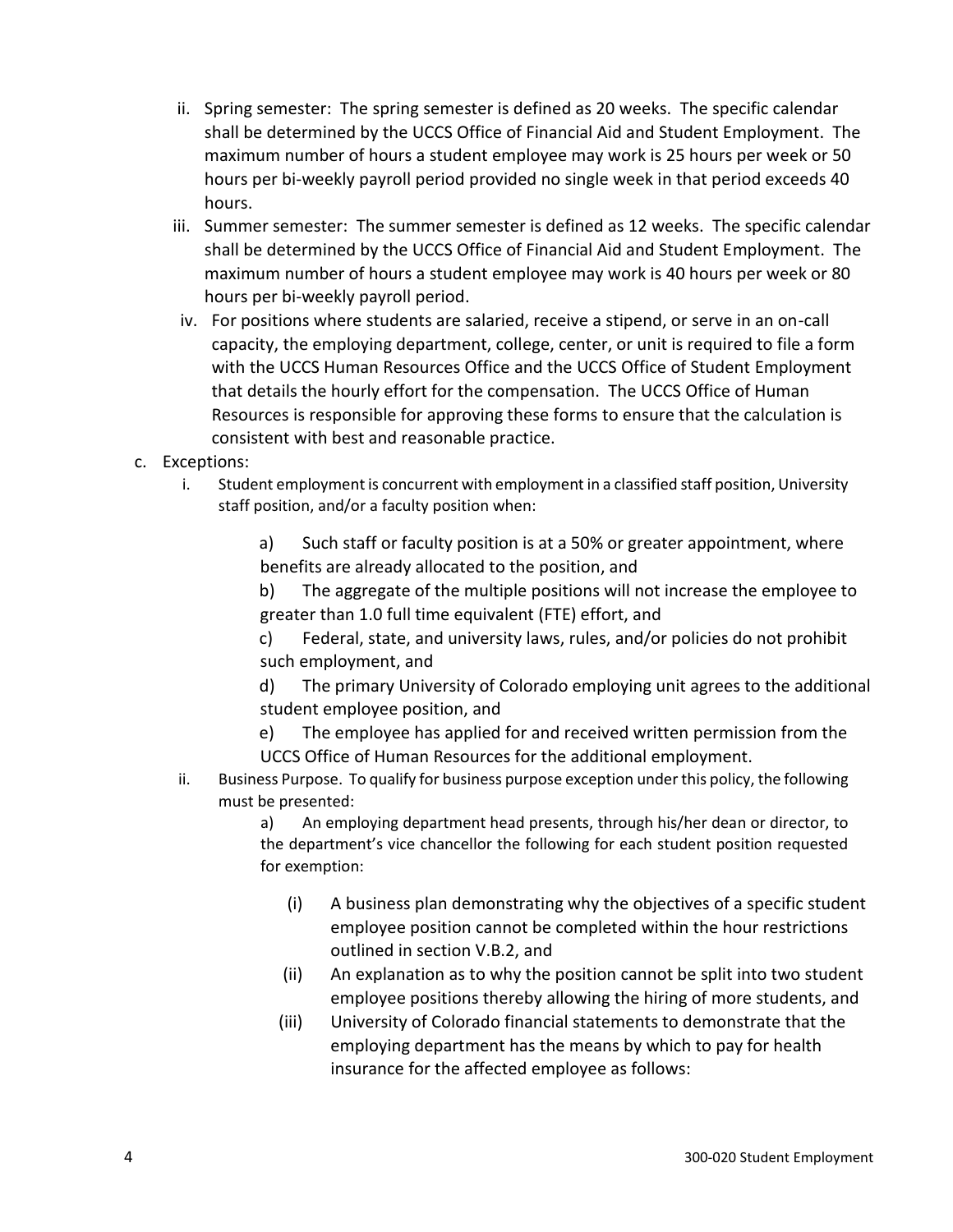- ii. Spring semester: The spring semester is defined as 20 weeks. The specific calendar shall be determined by the UCCS Office of Financial Aid and Student Employment. The maximum number of hours a student employee may work is 25 hours per week or 50 hours per bi-weekly payroll period provided no single week in that period exceeds 40 hours.
- iii. Summer semester: The summer semester is defined as 12 weeks. The specific calendar shall be determined by the UCCS Office of Financial Aid and Student Employment. The maximum number of hours a student employee may work is 40 hours per week or 80 hours per bi-weekly payroll period.
- iv. For positions where students are salaried, receive a stipend, or serve in an on-call capacity, the employing department, college, center, or unit is required to file a form with the UCCS Human Resources Office and the UCCS Office of Student Employment that details the hourly effort for the compensation. The UCCS Office of Human Resources is responsible for approving these forms to ensure that the calculation is consistent with best and reasonable practice.
- c. Exceptions:
	- i. Student employment is concurrent with employment in a classified staff position, University staff position, and/or a faculty position when:

a) Such staff or faculty position is at a 50% or greater appointment, where benefits are already allocated to the position, and

b) The aggregate of the multiple positions will not increase the employee to greater than 1.0 full time equivalent (FTE) effort, and

c) Federal, state, and university laws, rules, and/or policies do not prohibit such employment, and

d) The primary University of Colorado employing unit agrees to the additional student employee position, and

- e) The employee has applied for and received written permission from the UCCS Office of Human Resources for the additional employment.
- ii. Business Purpose. To qualify for business purpose exception under this policy, the following must be presented:

a) An employing department head presents, through his/her dean or director, to the department's vice chancellor the following for each student position requested for exemption:

- (i) A business plan demonstrating why the objectives of a specific student employee position cannot be completed within the hour restrictions outlined in section V.B.2, and
- (ii) An explanation as to why the position cannot be split into two student employee positions thereby allowing the hiring of more students, and
- (iii) University of Colorado financial statements to demonstrate that the employing department has the means by which to pay for health insurance for the affected employee as follows: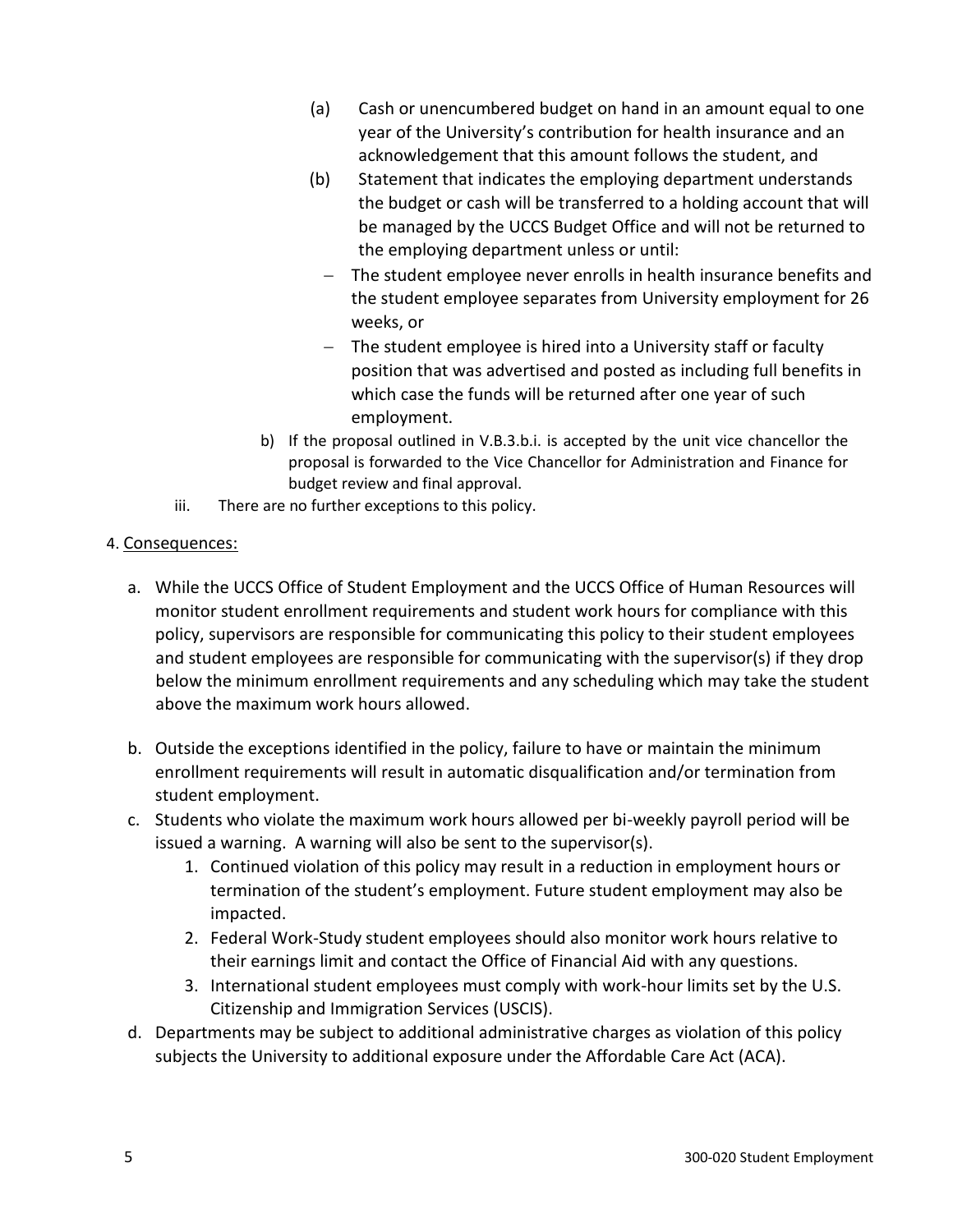- (a) Cash or unencumbered budget on hand in an amount equal to one year of the University's contribution for health insurance and an acknowledgement that this amount follows the student, and
- (b) Statement that indicates the employing department understands the budget or cash will be transferred to a holding account that will be managed by the UCCS Budget Office and will not be returned to the employing department unless or until:
	- The student employee never enrolls in health insurance benefits and the student employee separates from University employment for 26 weeks, or
	- The student employee is hired into a University staff or faculty position that was advertised and posted as including full benefits in which case the funds will be returned after one year of such employment.
- b) If the proposal outlined in V.B.3.b.i. is accepted by the unit vice chancellor the proposal is forwarded to the Vice Chancellor for Administration and Finance for budget review and final approval.
- iii. There are no further exceptions to this policy.

#### 4. Consequences:

- a. While the UCCS Office of Student Employment and the UCCS Office of Human Resources will monitor student enrollment requirements and student work hours for compliance with this policy, supervisors are responsible for communicating this policy to their student employees and student employees are responsible for communicating with the supervisor(s) if they drop below the minimum enrollment requirements and any scheduling which may take the student above the maximum work hours allowed.
- b. Outside the exceptions identified in the policy, failure to have or maintain the minimum enrollment requirements will result in automatic disqualification and/or termination from student employment.
- c. Students who violate the maximum work hours allowed per bi-weekly payroll period will be issued a warning. A warning will also be sent to the supervisor(s).
	- 1. Continued violation of this policy may result in a reduction in employment hours or termination of the student's employment. Future student employment may also be impacted.
	- 2. Federal Work-Study student employees should also monitor work hours relative to their earnings limit and contact the Office of Financial Aid with any questions.
	- 3. International student employees must comply with work-hour limits set by the U.S. Citizenship and Immigration Services (USCIS).
- d. Departments may be subject to additional administrative charges as violation of this policy subjects the University to additional exposure under the Affordable Care Act (ACA).